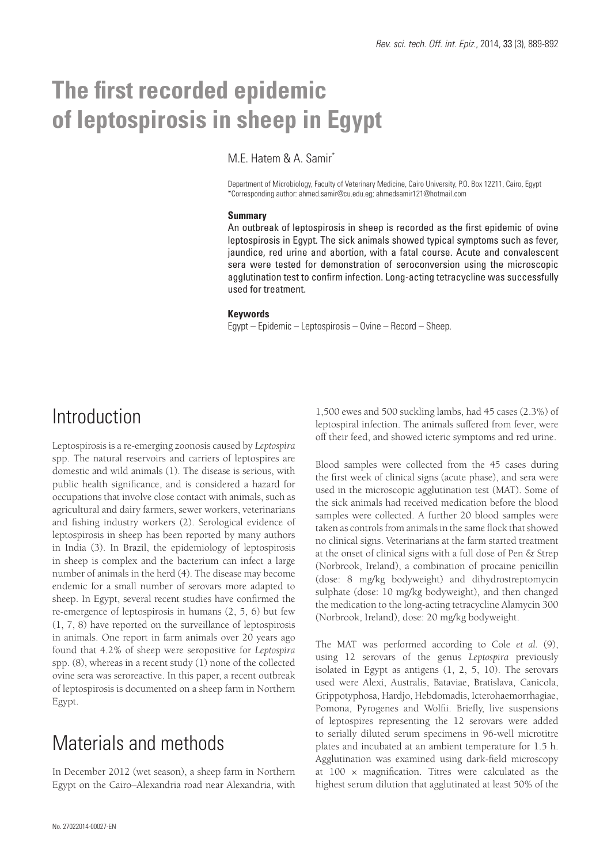# **The first recorded epidemic of leptospirosis in sheep in Egypt**

M.E. Hatem & A. Samir\*

Department of Microbiology, Faculty of Veterinary Medicine, Cairo University, P.O. Box 12211, Cairo, Egypt \*Corresponding author: ahmed.samir@cu.edu.eg; ahmedsamir121@hotmail.com

#### **Summary**

An outbreak of leptospirosis in sheep is recorded as the first epidemic of ovine leptospirosis in Egypt. The sick animals showed typical symptoms such as fever, jaundice, red urine and abortion, with a fatal course. Acute and convalescent sera were tested for demonstration of seroconversion using the microscopic agglutination test to confirm infection. Long-acting tetracycline was successfully used for treatment.

#### **Keywords**

Egypt – Epidemic – Leptospirosis – Ovine – Record – Sheep.

### Introduction

Leptospirosis is a re-emerging zoonosis caused by *Leptospira* spp. The natural reservoirs and carriers of leptospires are domestic and wild animals (1). The disease is serious, with public health significance, and is considered a hazard for occupations that involve close contact with animals, such as agricultural and dairy farmers, sewer workers, veterinarians and fishing industry workers (2). Serological evidence of leptospirosis in sheep has been reported by many authors in India (3). In Brazil, the epidemiology of leptospirosis in sheep is complex and the bacterium can infect a large number of animals in the herd (4). The disease may become endemic for a small number of serovars more adapted to sheep. In Egypt, several recent studies have confirmed the re-emergence of leptospirosis in humans (2, 5, 6) but few (1, 7, 8) have reported on the surveillance of leptospirosis in animals. One report in farm animals over 20 years ago found that 4.2% of sheep were seropositive for *Leptospira* spp. (8), whereas in a recent study (1) none of the collected ovine sera was seroreactive. In this paper, a recent outbreak of leptospirosis is documented on a sheep farm in Northern Egypt.

## Materials and methods

In December 2012 (wet season), a sheep farm in Northern Egypt on the Cairo–Alexandria road near Alexandria, with 1,500 ewes and 500 suckling lambs, had 45 cases (2.3%) of leptospiral infection. The animals suffered from fever, were off their feed, and showed icteric symptoms and red urine.

Blood samples were collected from the 45 cases during the first week of clinical signs (acute phase), and sera were used in the microscopic agglutination test (MAT). Some of the sick animals had received medication before the blood samples were collected. A further 20 blood samples were taken as controls from animals in the same flock that showed no clinical signs. Veterinarians at the farm started treatment at the onset of clinical signs with a full dose of Pen & Strep (Norbrook, Ireland), a combination of procaine penicillin (dose: 8 mg/kg bodyweight) and dihydrostreptomycin sulphate (dose: 10 mg/kg bodyweight), and then changed the medication to the long-acting tetracycline Alamycin 300 (Norbrook, Ireland), dose: 20 mg/kg bodyweight.

The MAT was performed according to Cole *et al.* (9), using 12 serovars of the genus *Leptospira* previously isolated in Egypt as antigens (1, 2, 5, 10). The serovars used were Alexi, Australis, Bataviae, Bratislava, Canicola, Grippotyphosa, Hardjo, Hebdomadis, Icterohaemorrhagiae, Pomona, Pyrogenes and Wolfii. Briefly, live suspensions of leptospires representing the 12 serovars were added to serially diluted serum specimens in 96-well microtitre plates and incubated at an ambient temperature for 1.5 h. Agglutination was examined using dark-field microscopy at 100 × magnification. Titres were calculated as the highest serum dilution that agglutinated at least 50% of the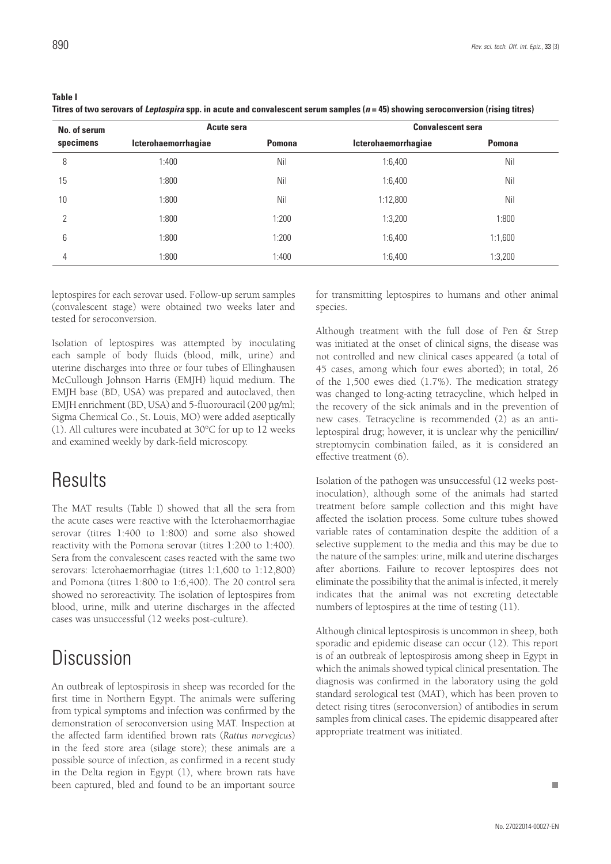**Table I**

**Titres of two serovars of** *Leptospira* **spp. in acute and convalescent serum samples (***n* **= 45) showing seroconversion (rising titres)**

| No. of serum<br>specimens | Acute sera          |               | <b>Convalescent sera</b> |               |
|---------------------------|---------------------|---------------|--------------------------|---------------|
|                           | Icterohaemorrhagiae | <b>Pomona</b> | Icterohaemorrhagiae      | <b>Pomona</b> |
| 8                         | 1:400               | Nil           | 1:6,400                  | Nil           |
| 15                        | 1:800               | Nil           | 1:6,400                  | Nil           |
| 10                        | 1:800               | Nil           | 1:12,800                 | Nil           |
| $\mathcal{P}$             | 1:800               | 1:200         | 1:3,200                  | 1:800         |
| 6                         | 1:800               | 1:200         | 1:6,400                  | 1:1,600       |
| 4                         | 1:800               | 1:400         | 1:6,400                  | 1:3,200       |

leptospires for each serovar used. Follow-up serum samples (convalescent stage) were obtained two weeks later and tested for seroconversion.

Isolation of leptospires was attempted by inoculating each sample of body fluids (blood, milk, urine) and uterine discharges into three or four tubes of Ellinghausen McCullough Johnson Harris (EMJH) liquid medium. The EMJH base (BD, USA) was prepared and autoclaved, then EMJH enrichment (BD, USA) and 5-fluorouracil (200 μg/ml; Sigma Chemical Co., St. Louis, MO) were added aseptically (1). All cultures were incubated at 30°C for up to 12 weeks and examined weekly by dark-field microscopy.

### **Results**

The MAT results (Table I) showed that all the sera from the acute cases were reactive with the Icterohaemorrhagiae serovar (titres 1:400 to 1:800) and some also showed reactivity with the Pomona serovar (titres 1:200 to 1:400). Sera from the convalescent cases reacted with the same two serovars: Icterohaemorrhagiae (titres 1:1,600 to 1:12,800) and Pomona (titres 1:800 to 1:6,400). The 20 control sera showed no seroreactivity. The isolation of leptospires from blood, urine, milk and uterine discharges in the affected cases was unsuccessful (12 weeks post-culture).

## **Discussion**

An outbreak of leptospirosis in sheep was recorded for the first time in Northern Egypt. The animals were suffering from typical symptoms and infection was confirmed by the demonstration of seroconversion using MAT. Inspection at the affected farm identified brown rats (*Rattus norvegicus*) in the feed store area (silage store); these animals are a possible source of infection, as confirmed in a recent study in the Delta region in Egypt (1), where brown rats have been captured, bled and found to be an important source for transmitting leptospires to humans and other animal species.

Although treatment with the full dose of Pen & Strep was initiated at the onset of clinical signs, the disease was not controlled and new clinical cases appeared (a total of 45 cases, among which four ewes aborted); in total, 26 of the 1,500 ewes died (1.7%). The medication strategy was changed to long-acting tetracycline, which helped in the recovery of the sick animals and in the prevention of new cases. Tetracycline is recommended (2) as an antileptospiral drug; however, it is unclear why the penicillin/ streptomycin combination failed, as it is considered an effective treatment (6).

Isolation of the pathogen was unsuccessful (12 weeks postinoculation), although some of the animals had started treatment before sample collection and this might have affected the isolation process. Some culture tubes showed variable rates of contamination despite the addition of a selective supplement to the media and this may be due to the nature of the samples: urine, milk and uterine discharges after abortions. Failure to recover leptospires does not eliminate the possibility that the animal is infected, it merely indicates that the animal was not excreting detectable numbers of leptospires at the time of testing (11).

Although clinical leptospirosis is uncommon in sheep, both sporadic and epidemic disease can occur (12). This report is of an outbreak of leptospirosis among sheep in Egypt in which the animals showed typical clinical presentation. The diagnosis was confirmed in the laboratory using the gold standard serological test (MAT), which has been proven to detect rising titres (seroconversion) of antibodies in serum samples from clinical cases. The epidemic disappeared after appropriate treatment was initiated.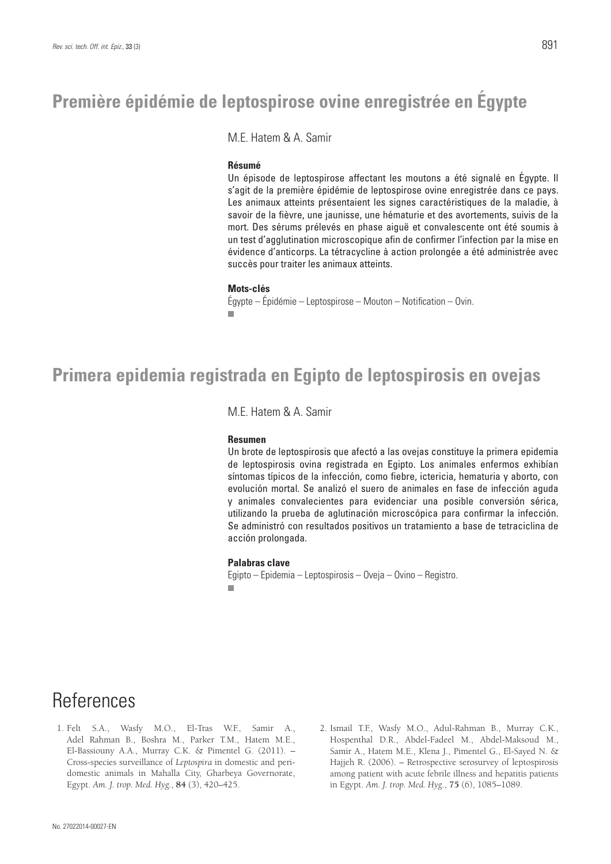M.E. Hatem & A. Samir

#### **Résumé**

Un épisode de leptospirose affectant les moutons a été signalé en Égypte. Il s'agit de la première épidémie de leptospirose ovine enregistrée dans ce pays. Les animaux atteints présentaient les signes caractéristiques de la maladie, à savoir de la fièvre, une jaunisse, une hématurie et des avortements, suivis de la mort. Des sérums prélevés en phase aiguë et convalescente ont été soumis à un test d'agglutination microscopique afin de confirmer l'infection par la mise en évidence d'anticorps. La tétracycline à action prolongée a été administrée avec succès pour traiter les animaux atteints.

#### **Mots-clés**

Égypte – Épidémie – Leptospirose – Mouton – Notification – Ovin. m.

### **Primera epidemia registrada en Egipto de leptospirosis en ovejas**

M.E. Hatem & A. Samir

#### **Resumen**

Un brote de leptospirosis que afectó a las ovejas constituye la primera epidemia de leptospirosis ovina registrada en Egipto. Los animales enfermos exhibían síntomas típicos de la infección, como fiebre, ictericia, hematuria y aborto, con evolución mortal. Se analizó el suero de animales en fase de infección aguda y animales convalecientes para evidenciar una posible conversión sérica, utilizando la prueba de aglutinación microscópica para confirmar la infección. Se administró con resultados positivos un tratamiento a base de tetraciclina de acción prolongada.

#### **Palabras clave**

Egipto – Epidemia – Leptospirosis – Oveja – Ovino – Registro.

## References

- 1. Felt S.A., Wasfy M.O., El-Tras W.F., Samir A., Adel Rahman B., Boshra M., Parker T.M., Hatem M.E., El-Bassiouny A.A., Murray C.K. & Pimentel G. (2011). – Cross-species surveillance of *Leptospira* in domestic and peridomestic animals in Mahalla City, Gharbeya Governorate, Egypt. *Am. J. trop. Med. Hyg.*, **84** (3), 420–425.
- 2. Ismail T.F., Wasfy M.O., Adul-Rahman B., Murray C.K., Hospenthal D.R., Abdel-Fadeel M., Abdel-Maksoud M., Samir A., Hatem M.E., Klena J., Pimentel G., El-Sayed N. & Hajjeh R. (2006). – Retrospective serosurvey of leptospirosis among patient with acute febrile illness and hepatitis patients in Egypt. *Am. J. trop. Med. Hyg*., **75** (6), 1085–1089.